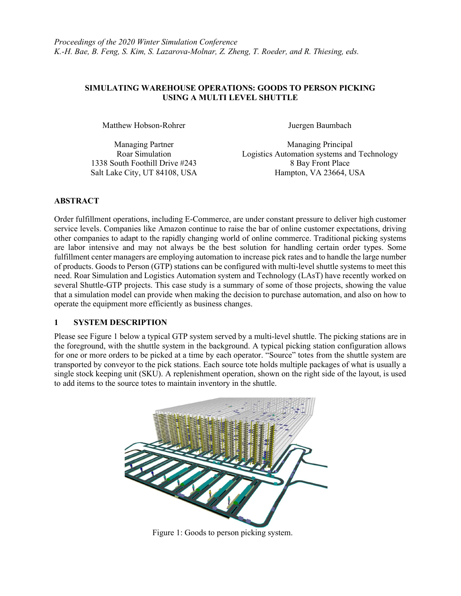## SIMULATING WAREHOUSE OPERATIONS: GOODS TO PERSON PICKING USING A MULTI LEVEL SHUTTLE

Matthew Hobson-Rohrer **Immunition** Juergen Baumbach

Managing Partner Managing Principal Roar Simulation Logistics Automation systems and Technology 1338 South Foothill Drive #243 8 Bay Front Place Salt Lake City, UT 84108, USA Hampton, VA 23664, USA

# ABSTRACT

Order fulfillment operations, including E-Commerce, are under constant pressure to deliver high customer service levels. Companies like Amazon continue to raise the bar of online customer expectations, driving other companies to adapt to the rapidly changing world of online commerce. Traditional picking systems are labor intensive and may not always be the best solution for handling certain order types. Some fulfillment center managers are employing automation to increase pick rates and to handle the large number of products. Goods to Person (GTP) stations can be configured with multi-level shuttle systems to meet this need. Roar Simulation and Logistics Automation system and Technology (LAsT) have recently worked on several Shuttle-GTP projects. This case study is a summary of some of those projects, showing the value that a simulation model can provide when making the decision to purchase automation, and also on how to operate the equipment more efficiently as business changes.

## 1 SYSTEM DESCRIPTION

Please see Figure 1 below a typical GTP system served by a multi-level shuttle. The picking stations are in the foreground, with the shuttle system in the background. A typical picking station configuration allows for one or more orders to be picked at a time by each operator. "Source" totes from the shuttle system are transported by conveyor to the pick stations. Each source tote holds multiple packages of what is usually a single stock keeping unit (SKU). A replenishment operation, shown on the right side of the layout, is used to add items to the source totes to maintain inventory in the shuttle.



Figure 1: Goods to person picking system.